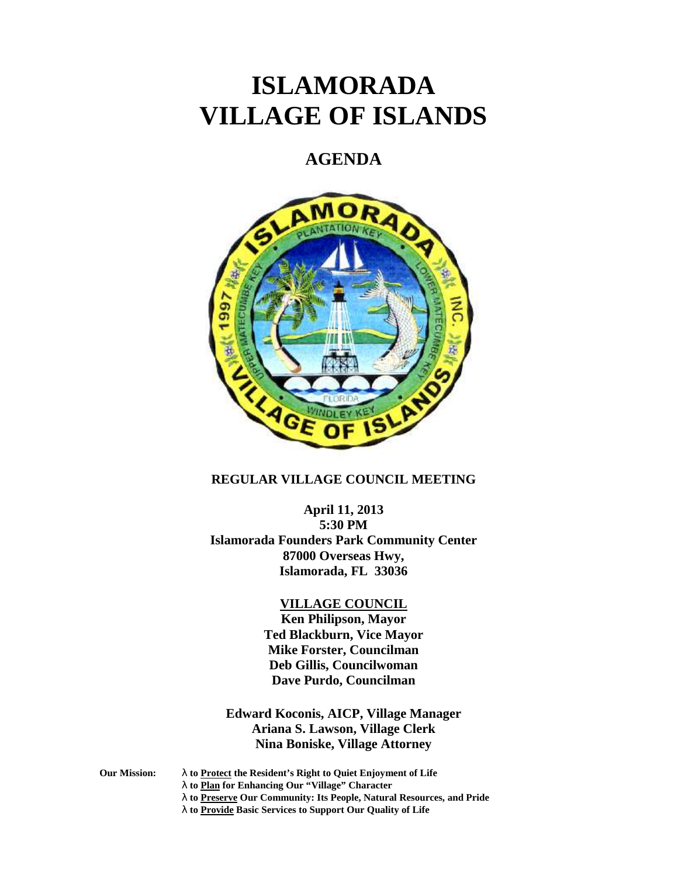# **ISLAMORADA VILLAGE OF ISLANDS**

## **AGENDA**



#### **REGULAR VILLAGE COUNCIL MEETING**

**April 11, 2013 5:30 PM Islamorada Founders Park Community Center 87000 Overseas Hwy, Islamorada, FL 33036**

### **VILLAGE COUNCIL**

**Ken Philipson, Mayor Ted Blackburn, Vice Mayor Mike Forster, Councilman Deb Gillis, Councilwoman Dave Purdo, Councilman**

**Edward Koconis, AICP, Village Manager Ariana S. Lawson, Village Clerk Nina Boniske, Village Attorney**

**Our Mission: to Protect the Resident's Right to Quiet Enjoyment of Life**

**to Plan for Enhancing Our "Village" Character**

- **to Preserve Our Community: Its People, Natural Resources, and Pride**
- **to Provide Basic Services to Support Our Quality of Life**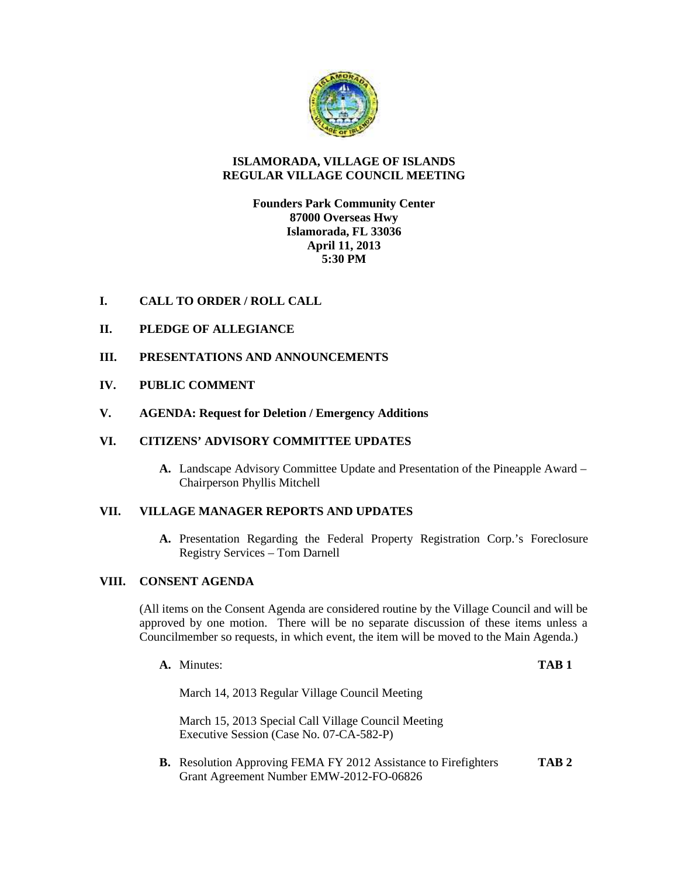

#### **ISLAMORADA, VILLAGE OF ISLANDS REGULAR VILLAGE COUNCIL MEETING**

#### **Founders Park Community Center 87000 Overseas Hwy Islamorada, FL 33036 April 11, 2013 5:30 PM**

#### **I. CALL TO ORDER / ROLL CALL**

- **II. PLEDGE OF ALLEGIANCE**
- **III. PRESENTATIONS AND ANNOUNCEMENTS**
- **IV. PUBLIC COMMENT**
- **V. AGENDA: Request for Deletion / Emergency Additions**

#### **VI. CITIZENS' ADVISORY COMMITTEE UPDATES**

**A.** Landscape Advisory Committee Update and Presentation of the Pineapple Award – Chairperson Phyllis Mitchell

#### **VII. VILLAGE MANAGER REPORTS AND UPDATES**

**A.** Presentation Regarding the Federal Property Registration Corp.'s Foreclosure Registry Services – Tom Darnell

#### **VIII. CONSENT AGENDA**

(All items on the Consent Agenda are considered routine by the Village Council and will be approved by one motion. There will be no separate discussion of these items unless a Councilmember so requests, in which event, the item will be moved to the Main Agenda.)

**A.** Minutes: **TAB 1**

March 14, 2013 Regular Village Council Meeting

March 15, 2013 Special Call Village Council Meeting Executive Session (Case No. 07-CA-582-P)

**B.** Resolution Approving FEMA FY 2012 Assistance to Firefighters **TAB 2** Grant Agreement Number EMW-2012-FO-06826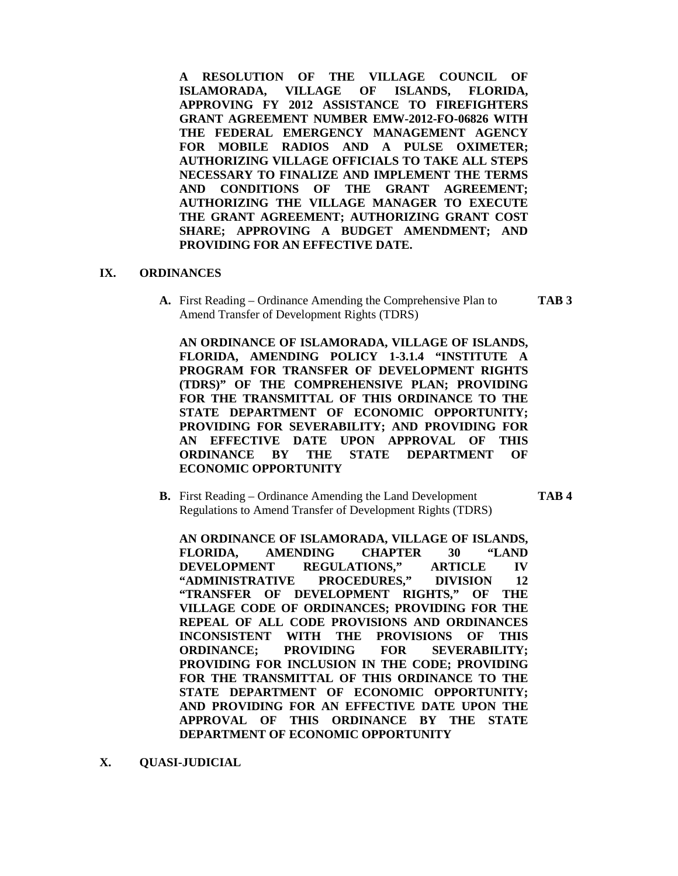**A RESOLUTION OF THE VILLAGE COUNCIL OF ISLAMORADA, VILLAGE OF ISLANDS, FLORIDA, APPROVING FY 2012 ASSISTANCE TO FIREFIGHTERS GRANT AGREEMENT NUMBER EMW-2012-FO-06826 WITH THE FEDERAL EMERGENCY MANAGEMENT AGENCY FOR MOBILE RADIOS AND A PULSE OXIMETER; AUTHORIZING VILLAGE OFFICIALS TO TAKE ALL STEPS NECESSARY TO FINALIZE AND IMPLEMENT THE TERMS AND CONDITIONS OF THE GRANT AGREEMENT; AUTHORIZING THE VILLAGE MANAGER TO EXECUTE THE GRANT AGREEMENT; AUTHORIZING GRANT COST SHARE; APPROVING A BUDGET AMENDMENT; AND PROVIDING FOR AN EFFECTIVE DATE.**

#### **IX. ORDINANCES**

**A.** First Reading – Ordinance Amending the Comprehensive Plan to **TAB 3** Amend Transfer of Development Rights (TDRS)

**AN ORDINANCE OF ISLAMORADA, VILLAGE OF ISLANDS, FLORIDA, AMENDING POLICY 1-3.1.4 "INSTITUTE A PROGRAM FOR TRANSFER OF DEVELOPMENT RIGHTS (TDRS)" OF THE COMPREHENSIVE PLAN; PROVIDING FOR THE TRANSMITTAL OF THIS ORDINANCE TO THE STATE DEPARTMENT OF ECONOMIC OPPORTUNITY; PROVIDING FOR SEVERABILITY; AND PROVIDING FOR AN EFFECTIVE DATE UPON APPROVAL OF THIS ORDINANCE BY THE STATE DEPARTMENT OF ECONOMIC OPPORTUNITY**

**B.** First Reading – Ordinance Amending the Land Development **TAB 4** Regulations to Amend Transfer of Development Rights (TDRS)

**AN ORDINANCE OF ISLAMORADA, VILLAGE OF ISLANDS, FLORIDA, AMENDING CHAPTER 30 "LAND DEVELOPMENT REGULATIONS," ARTICLE IV "ADMINISTRATIVE PROCEDURES," DIVISION 12 "TRANSFER OF DEVELOPMENT RIGHTS," OF THE VILLAGE CODE OF ORDINANCES; PROVIDING FOR THE REPEAL OF ALL CODE PROVISIONS AND ORDINANCES INCONSISTENT WITH THE PROVISIONS OF THIS ORDINANCE; PROVIDING FOR SEVERABILITY; PROVIDING FOR INCLUSION IN THE CODE; PROVIDING**

**FOR THE TRANSMITTAL OF THIS ORDINANCE TO THE STATE DEPARTMENT OF ECONOMIC OPPORTUNITY; AND PROVIDING FOR AN EFFECTIVE DATE UPON THE APPROVAL OF THIS ORDINANCE BY THE STATE DEPARTMENT OF ECONOMIC OPPORTUNITY**

**X. QUASI-JUDICIAL**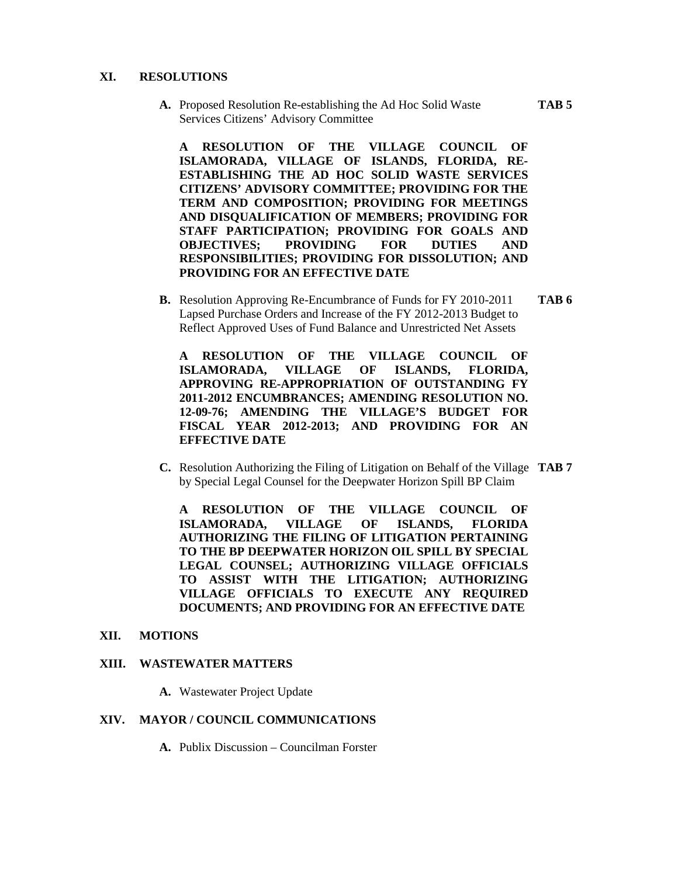#### **XI. RESOLUTIONS**

**A.** Proposed Resolution Re-establishing the Ad Hoc Solid Waste **TAB 5** Services Citizens' Advisory Committee

**A RESOLUTION OF THE VILLAGE COUNCIL OF ISLAMORADA, VILLAGE OF ISLANDS, FLORIDA, RE- ESTABLISHING THE AD HOC SOLID WASTE SERVICES CITIZENS' ADVISORY COMMITTEE; PROVIDING FOR THE TERM AND COMPOSITION; PROVIDING FOR MEETINGS AND DISQUALIFICATION OF MEMBERS; PROVIDING FOR STAFF PARTICIPATION; PROVIDING FOR GOALS AND OBJECTIVES; PROVIDING FOR DUTIES AND RESPONSIBILITIES; PROVIDING FOR DISSOLUTION; AND PROVIDING FOR AN EFFECTIVE DATE**

**B.** Resolution Approving Re-Encumbrance of Funds for FY 2010-2011 **TAB 6** Lapsed Purchase Orders and Increase of the FY 2012-2013 Budget to Reflect Approved Uses of Fund Balance and Unrestricted Net Assets

**A RESOLUTION OF THE VILLAGE COUNCIL OF ISLAMORADA, VILLAGE OF ISLANDS, FLORIDA, APPROVING RE-APPROPRIATION OF OUTSTANDING FY 2011-2012 ENCUMBRANCES; AMENDING RESOLUTION NO. 12-09-76; AMENDING THE VILLAGE'S BUDGET FOR FISCAL YEAR 2012-2013; AND PROVIDING FOR AN EFFECTIVE DATE**

**C.** Resolution Authorizing the Filing of Litigation on Behalf of the Village **TAB 7** by Special Legal Counsel for the Deepwater Horizon Spill BP Claim

**A RESOLUTION OF THE VILLAGE COUNCIL OF ISLAMORADA, VILLAGE OF ISLANDS, FLORIDA AUTHORIZING THE FILING OF LITIGATION PERTAINING TO THE BP DEEPWATER HORIZON OIL SPILL BY SPECIAL LEGAL COUNSEL; AUTHORIZING VILLAGE OFFICIALS TO ASSIST WITH THE LITIGATION; AUTHORIZING VILLAGE OFFICIALS TO EXECUTE ANY REQUIRED DOCUMENTS; AND PROVIDING FOR AN EFFECTIVE DATE**

#### **XII. MOTIONS**

#### **XIII. WASTEWATER MATTERS**

**A.** Wastewater Project Update

#### **XIV. MAYOR / COUNCIL COMMUNICATIONS**

**A.** Publix Discussion – Councilman Forster